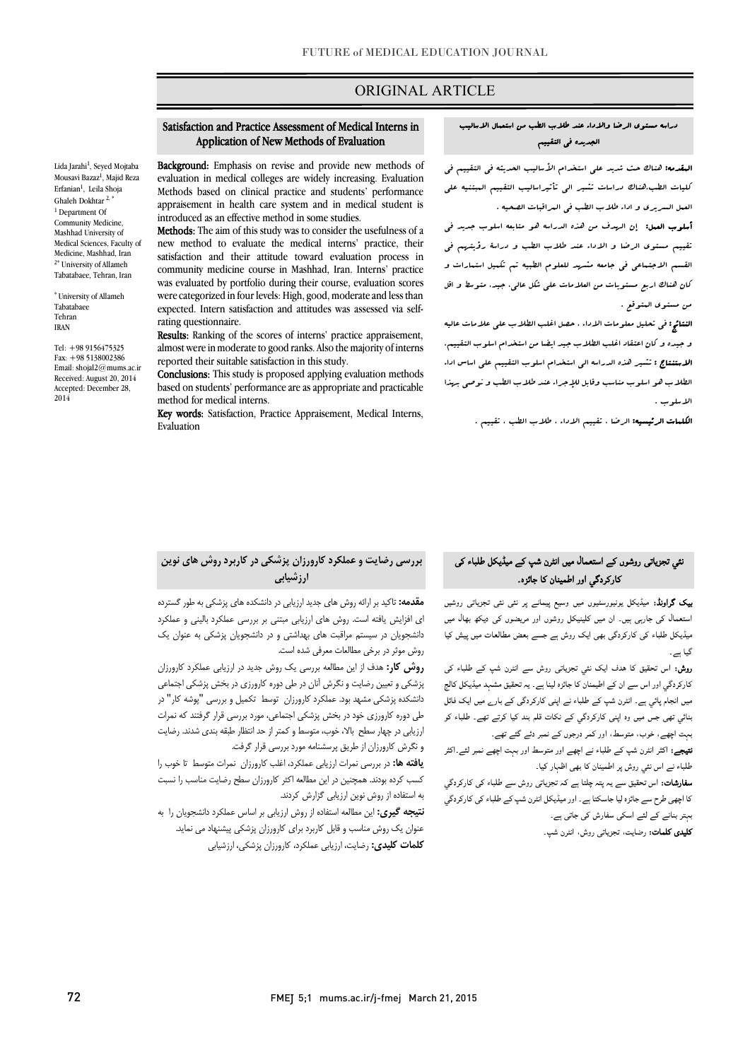# ORIGINAL ARTICLE

#### Application of New Methods of Evaluation Satisfaction and Practice Assessment of Medical Interns in

Ī

l

Lida Jarahi<sup>1</sup>, Seyed Mojtaba Mousavi Bazaz<sup>1</sup>, Majid Reza Erfanian<sup>1</sup>, Leila Shoja Ghaleh Dokhtar 2, \* <sup>1</sup> Department Of Community Medicine, Mashhad University of Medical Sciences, Faculty of Medicine, Mashhad, Iran <sup>2\*</sup> University of Allameh Tabatabaee, Tehran, Iran

\* University of Allameh Tabatabaee Tehran IRAN

Tel: +98 9156475325 Fax: +98 5138002386 Email: shojal2@mums.ac.ir Received: August 20, 2014 Accepted: December 28, 2014

Background: Emphasis on revise and provide new methods of Methods based on clinical practice and students' performance appraisement in health care system and in medical student is evaluation in medical colleges are widely increasing. Evaluation introduced as an effective method in some studies.

Methods: The aim of this study was to consider the usefulness of a new method to evaluate the medical interns' practice, their satisfaction and their attitude toward evaluation process in was evaluated by portfolio during their course, evaluation scores were categorized in four levels: High, good, moderate and less than expected. Intern satisfaction and attitudes was assessed via selfcommunity medicine course in Mashhad, Iran. Interns' practice rating questionnaire.

Results: Ranking of the scores of interns' practice appraisement, almost were in moderate to good ranks. Also the majority of interns reported their suitable satisfaction in this study.

**Conclusions:** This study is proposed applying evaluation methods based on students' performance are as appropriate and practicable method for medical interns.

method for methcal meths.<br>**Key words:** Satisfaction, Practice Appraisement, Medical Interns, Evaluation

#### دراسه مستوي الرضا والاداء عند طلاب الطب من استعمال الاسالیب الجدیده فی التقییم

Ī

 المقدمه: هناك حث شدید علی استخدام الأسالیب الحدیثه فی التقییم فی کلیات الطب.هناك دراسات تشیر الی تأثیراسالیب التقییم المبتنیه علی العمل السریري و اداء طلاب الطب فی المراقبات الصحیه .

 أسلوب العمل: إن الهدف من هذه الدراسه هو متابعه اسلوب جدید فی تقییم مستوي الرضا و الاداء عند طلاب الطب و دراسۀ رؤیتهم فی القسم الاجتماعی فی جامعه مشهد للعلوم الطبیه تم تکمیل استمارات و کان هناك اربع مستویات من العلامات علی شکل عالی، جید، متوسط و اقل من مستوي المتوقع .

 النتائج: فی تحلیل معلومات الاداء ، حصل اغلب الطلاب علی علامات عالیه و جیده و کان اعتقاد اغلب الطلاب جید ایضا من استخدام اسلوب التقییم. ا**لاستنتاج :** تشیر هذه الدراسه ال<sub>ی</sub> استخدام اسلوب التقییم علی اساس اداء<br>. الطلاب هو اسلوب مناسب وقابل للإجراء عند طلاب الطب و نوصی بهذا الاسلوب .

الکلمات الرئیسیه: الرضا ، تقییم الاداء ، طلاب الطب ، تقییم .

#### بررسی رضایت و عملکرد کارورزان پزشکی در کاربرد روش هاي نوین ارزشیابی

**مقدمه:** تاکید بر ارائه روش های جدید ارزیابی در دانشکده های پزشکی به طور گسترده اي افزایش یافته است. روش هاي ارزیابی مبتنی بر بررسی عملکرد بالینی و عملکرد --------ویس موثر در بیستم مرسیل موثر میست.<br>روش موثر در برخی مطالعات معرفی شده است. دانشجویان در سیستم مراقبت هاي بهداشتی و در دانشجویان پزشکی به عنوان یک

روس کار: مدف<br>**روش کار:** هدف از این مطالعه بررسی یک روش جدید در ارزیابی عملکرد کارورزان پزشکی و تعیین رضایت و نگرش آنان در طی دوره کارورزي در بخش پزشکی اجتماعی دانشکده پزشکی مشهد بود. عملکرد کارورزان توسط تکمیل و بررسی "پوشه کار" در طی دوره کارورزي خود در بخش پزشکی اجتماعی، مورد بررسی قرار گرفتند که نمرات ارزیابی در چهار سطح بالا، خوب، متوسط و کمتر از حد انتظار طبقه بندي شدند. رضایت و نگرش کارورزان از طریق پرسشنامه مورد بررسی قرار گرفت.

 یافته ها: در بررسی نمرات ارزیابی عملکرد، اغلب کارورزان نمرات متوسط تا خوب را به استفاده از روش نوین ارزیابی گزارش کردند. کسب کرده بودند. همچنین در این مطالعه اکثر کارورزان سطح رضایت مناسب را نسبت

 نتیجه گیري: این مطالعه استفاده از روش ارزیابی بر اساس عملکرد دانشجویان را به عنوان یک روش مناسب و قابل کاربرد براي کارورزان پزشکی پیشنهاد می نماید. کلمات کلیدي: رضایت، ارزیابی عملکرد، کارورزان پزشکی، ارزشیابی

# عی تجزیاتی روشوں کے استعمال میں انٹرن شپ کے میڈیکل طلباء کی<br>مقامت کارکردگی اور اطمینان کا جائزہ۔

**ییک گراونڈ:** میڈیکل یونیورسٹیوں میں وسیع پیمانے پر نئی نئی تجزیاتی روشیں استعمال کی جارہی ہیں۔ ان میں کلینیکل روشوں اور مریضوں کی دیکھ بھال میں<br>۔ میڈیکل طلباء کی کارکردگی بھی ایک روش ہے جسے بعض مطالعات میں پیش کیا ۔<br>۔ گیا ہے۔

۔ ہے<br>**روش:** اس تحقیق کا ہدف ایک نئی تجزیاتی روش سے انٹرن شپ کے طلباء کی ۔<br>کارکردگیِ اور اس سے ان کے اطیمنان کا جائزہ لینا ہے۔ یہ تحقیق مشہد میڈیکل کالج میں انجام پائی ہے۔ انٹرن شپ کے طلباء نے اپنی کارکردگی کے بارے میں ایک فائل .<br>بنائي تھی جس میں وہ اپنی کارکردگي کے نکات قلم بند کیا کرتے تھے۔ طلباء کو بہت اچھے، خوب، متوسط، اور کمر درجوں کے نمبر دئے گئے تھے۔

**تیجے:** اکثر انٹرن شپ کے طلباء نے اچھے اور متوسط اور بہت اچھے نمبر لئے۔اکثر طلباء نے اس نئي روش پر اطمينان کا بھی اظہار کيا۔

**سفارشات:** اس تحقیق سے یہ پتہ چلتا ہے کہ تجزیاتی روش سے طلباء کی کارکردگ<u>ي</u> کا اچھی طرح سے جائزہ لیا جاسکتا ہے۔ اور میڈیکل انٹرن شپ کے طلباء کی کارکردگي<br>۔ بہ د سے سے سے سے سے دورے ہیں۔<br>**کلیدی کلمات:** رضایت، تجزیاتی روش، انٹرن شپ۔ ہبتر بنانے کے لئے اسکی سفارش کی جاتی ہے۔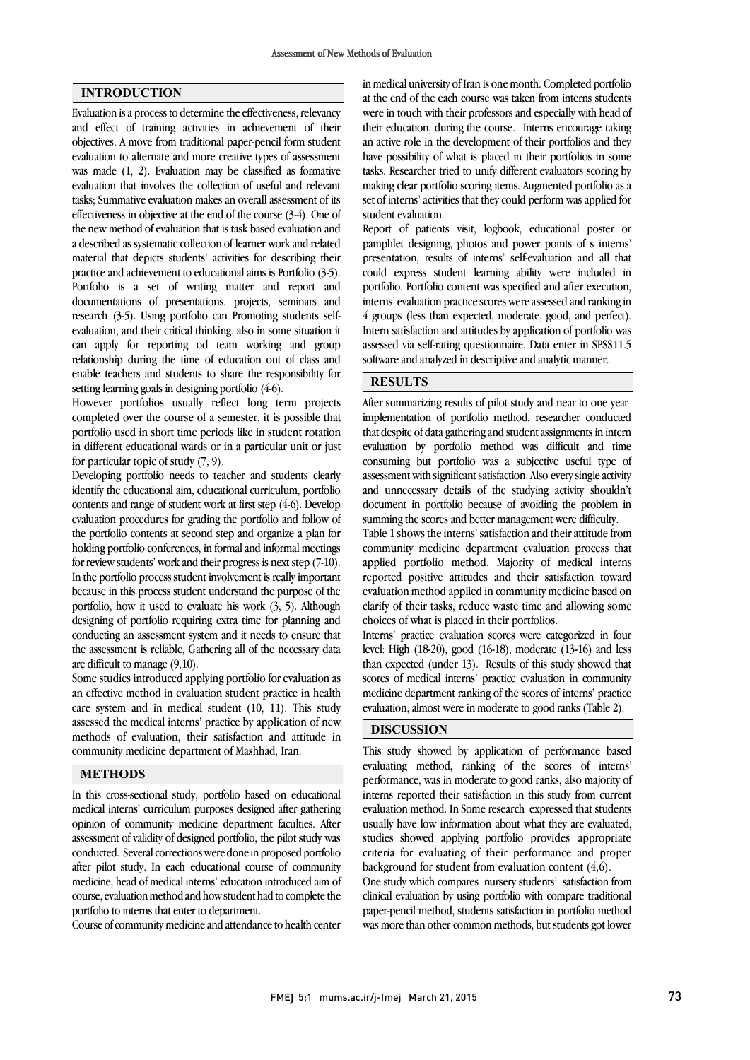## INTRODUCTION

Evaluation is a process to determine the effectiveness, relevancy and effect of training activities in achievement of their objectives. A move from traditional paper-pencil form student evaluation to alternate and more creative types of assessment was made (1, 2). Evaluation may be classified as formative evaluation that involves the collection of useful and relevant tasks; Summative evaluation makes an overall assessment of its effectiveness in objective at the end of the course (3-4). One of the new method of evaluation that is task based evaluation and a described as systematic collection of learner work and related material that depicts students' activities for describing their practice and achievement to educational aims is Portfolio (3-5). Portfolio is a set of writing matter and report and documentations of presentations, projects, seminars and research (3-5). Using portfolio can Promoting students selfevaluation, and their critical thinking, also in some situation it can apply for reporting od team working and group relationship during the time of education out of class and enable teachers and students to share the responsibility for setting learning goals in designing portfolio (4-6).

However portfolios usually reflect long term projects completed over the course of a semester, it is possible that portfolio used in short time periods like in student rotation in different educational wards or in a particular unit or just for particular topic of study (7, 9).

Developing portfolio needs to teacher and students clearly identify the educational aim, educational curriculum, portfolio contents and range of student work at first step (4-6). Develop evaluation procedures for grading the portfolio and follow of the portfolio contents at second step and organize a plan for holding portfolio conferences, in formal and informal meetings for review students' work and their progress is next step (7-10). In the portfolio process student involvement is really important because in this process student understand the purpose of the portfolio, how it used to evaluate his work (3, 5). Although designing of portfolio requiring extra time for planning and conducting an assessment system and it needs to ensure that the assessment is reliable, Gathering all of the necessary data are difficult to manage (9,10).

Some studies introduced applying portfolio for evaluation as an effective method in evaluation student practice in health care system and in medical student (10, 11). This study assessed the medical interns' practice by application of new methods of evaluation, their satisfaction and attitude in community medicine department of Mashhad, Iran.

#### METHODS

In this cross-sectional study, portfolio based on educational medical interns' curriculum purposes designed after gathering opinion of community medicine department faculties. After assessment of validity of designed portfolio, the pilot study was conducted. Several corrections were done in proposed portfolio after pilot study. In each educational course of community medicine, head of medical interns' education introduced aim of course, evaluation method and how student had to complete the portfolio to interns that enter to department.

Course of community medicine and attendance to health center

 in medical university of Iran is one month. Completed portfolio at the end of the each course was taken from interns students were in touch with their professors and especially with head of an active role in the development of their portfolios and they have possibility of what is placed in their portfolios in some tasks. Researcher tried to unify different evaluators scoring by making clear portfolio scoring items. Augmented portfolio as a set of filents activi their education, during the course. Interns encourage taking set of interns' activities that they could perform was applied for

 Report of patients visit, logbook, educational poster or pamphlet designing, photos and power points of s interns' presentation, results of interns' self-evaluation and all that portfolio. Portfolio content was specified and after execution, interns' evaluation practice scores were assessed and ranking in 4 groups (less than expected, moderate, good, and perfect). Intern satisfaction and attitudes by application of portfolio was software and analyzed in descriptive and analytic manner.  $\overline{a}$ could express student learning ability were included in assessed via self-rating questionnaire. Data enter in SPSS11.5

#### RESULTS <u>.</u>

 After summarizing results of pilot study and near to one year that despite of data gathering and student assignments in intern evaluation by portfolio method was difficult and time consuming but portfolio was a subjective useful type of assessment with significant satisfaction. Also every single activity document in portfolio because of avoiding the problem in summing the scores and better management were difficulty. implementation of portfolio method, researcher conducted and unnecessary details of the studying activity shouldn't

 Table 1 shows the interns' satisfaction and their attitude from community medicine department evaluation process that reported positive attitudes and their satisfaction toward evaluation method applied in community medicine based on clarify of their tasks, reduce waste time and allowing some choices of what is placed in their portfolios. applied portfolio method. Majority of medical interns

 level: High (18-20), good (16-18), moderate (13-16) and less than expected (under 13). Results of this study showed that scores of medical interns' practice evaluation in community medicine department ranking of the scores of interns' practice evaluation, almost were in moderate to good ranks (Table 2). Interns' practice evaluation scores were categorized in four

## **DISCUSSION**

 This study showed by application of performance based evaluating method, ranking of the scores of interns' interns reported their satisfaction in this study from current evaluation method. In Some research expressed that students usually have low information about what they are evaluated, studies showed applying portfolio provides appropriate  $\alpha$  background for student from evaluation content  $(4,6)$ . performance, was in moderate to good ranks, also majority of criteria for evaluating of their performance and proper

 One study which compares nursery students' satisfaction from clinical evaluation by using portfolio with compare traditional paper-pencil method, students satisfaction in portfolio method was more than other common methods, but students got lower